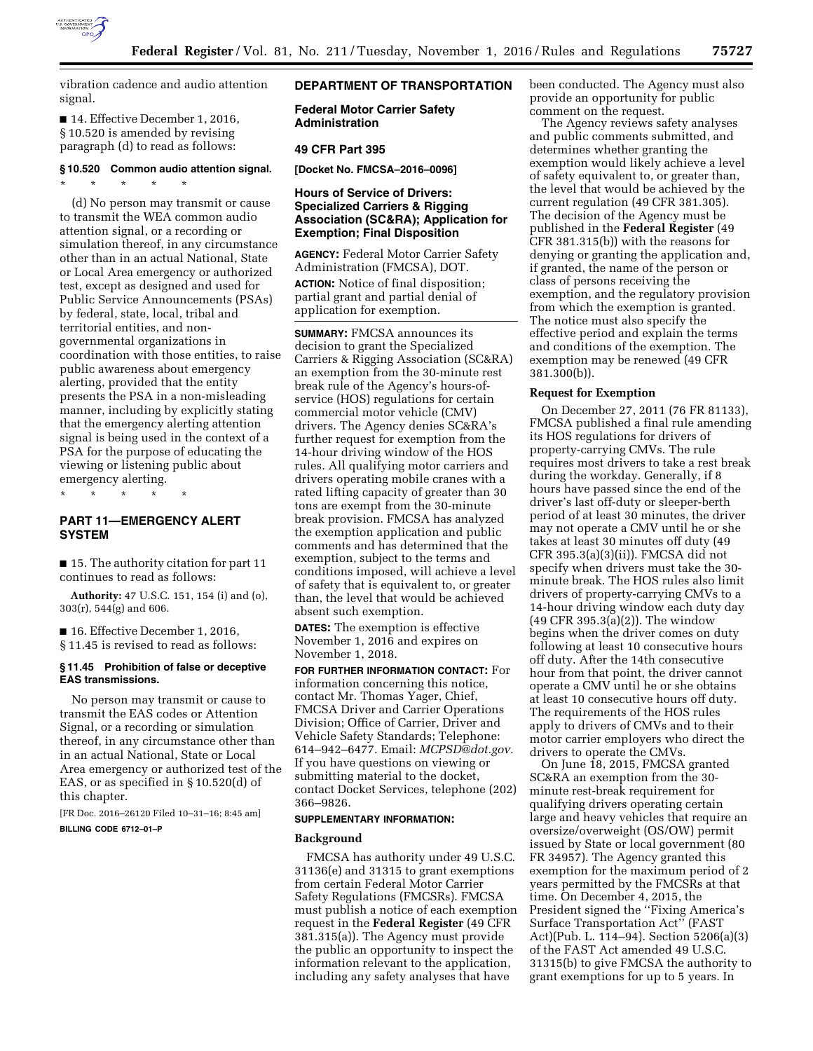

vibration cadence and audio attention signal.

■ 14. Effective December 1, 2016, § 10.520 is amended by revising paragraph (d) to read as follows:

# **§ 10.520 Common audio attention signal.**

\* \* \* \* \* (d) No person may transmit or cause to transmit the WEA common audio attention signal, or a recording or simulation thereof, in any circumstance other than in an actual National, State or Local Area emergency or authorized test, except as designed and used for Public Service Announcements (PSAs) by federal, state, local, tribal and territorial entities, and nongovernmental organizations in coordination with those entities, to raise public awareness about emergency alerting, provided that the entity presents the PSA in a non-misleading manner, including by explicitly stating that the emergency alerting attention signal is being used in the context of a PSA for the purpose of educating the viewing or listening public about emergency alerting.

\* \* \* \* \*

# **PART 11—EMERGENCY ALERT SYSTEM**

■ 15. The authority citation for part 11 continues to read as follows:

**Authority:** 47 U.S.C. 151, 154 (i) and (o), 303(r), 544(g) and 606.

■ 16. Effective December 1, 2016, § 11.45 is revised to read as follows:

## **§ 11.45 Prohibition of false or deceptive EAS transmissions.**

No person may transmit or cause to transmit the EAS codes or Attention Signal, or a recording or simulation thereof, in any circumstance other than in an actual National, State or Local Area emergency or authorized test of the EAS, or as specified in § 10.520(d) of this chapter.

[FR Doc. 2016–26120 Filed 10–31–16; 8:45 am] **BILLING CODE 6712–01–P** 

# **DEPARTMENT OF TRANSPORTATION**

**Federal Motor Carrier Safety Administration** 

# **49 CFR Part 395**

**[Docket No. FMCSA–2016–0096]** 

# **Hours of Service of Drivers: Specialized Carriers & Rigging Association (SC&RA); Application for Exemption; Final Disposition**

**AGENCY:** Federal Motor Carrier Safety Administration (FMCSA), DOT. **ACTION:** Notice of final disposition; partial grant and partial denial of application for exemption.

**SUMMARY:** FMCSA announces its decision to grant the Specialized Carriers & Rigging Association (SC&RA) an exemption from the 30-minute rest break rule of the Agency's hours-ofservice (HOS) regulations for certain commercial motor vehicle (CMV) drivers. The Agency denies SC&RA's further request for exemption from the 14-hour driving window of the HOS rules. All qualifying motor carriers and drivers operating mobile cranes with a rated lifting capacity of greater than 30 tons are exempt from the 30-minute break provision. FMCSA has analyzed the exemption application and public comments and has determined that the exemption, subject to the terms and conditions imposed, will achieve a level of safety that is equivalent to, or greater than, the level that would be achieved absent such exemption.

**DATES:** The exemption is effective November 1, 2016 and expires on November 1, 2018.

**FOR FURTHER INFORMATION CONTACT:** For information concerning this notice, contact Mr. Thomas Yager, Chief, FMCSA Driver and Carrier Operations Division; Office of Carrier, Driver and Vehicle Safety Standards; Telephone: 614–942–6477. Email: *[MCPSD@dot.gov.](mailto:MCPSD@dot.gov)*  If you have questions on viewing or submitting material to the docket, contact Docket Services, telephone (202) 366–9826.

#### **SUPPLEMENTARY INFORMATION:**

## **Background**

FMCSA has authority under 49 U.S.C. 31136(e) and 31315 to grant exemptions from certain Federal Motor Carrier Safety Regulations (FMCSRs). FMCSA must publish a notice of each exemption request in the **Federal Register** (49 CFR 381.315(a)). The Agency must provide the public an opportunity to inspect the information relevant to the application, including any safety analyses that have

been conducted. The Agency must also provide an opportunity for public comment on the request.

The Agency reviews safety analyses and public comments submitted, and determines whether granting the exemption would likely achieve a level of safety equivalent to, or greater than, the level that would be achieved by the current regulation (49 CFR 381.305). The decision of the Agency must be published in the **Federal Register** (49 CFR 381.315(b)) with the reasons for denying or granting the application and, if granted, the name of the person or class of persons receiving the exemption, and the regulatory provision from which the exemption is granted. The notice must also specify the effective period and explain the terms and conditions of the exemption. The exemption may be renewed (49 CFR 381.300(b)).

# **Request for Exemption**

On December 27, 2011 (76 FR 81133), FMCSA published a final rule amending its HOS regulations for drivers of property-carrying CMVs. The rule requires most drivers to take a rest break during the workday. Generally, if 8 hours have passed since the end of the driver's last off-duty or sleeper-berth period of at least 30 minutes, the driver may not operate a CMV until he or she takes at least 30 minutes off duty (49 CFR 395.3(a)(3)(ii)). FMCSA did not specify when drivers must take the 30 minute break. The HOS rules also limit drivers of property-carrying CMVs to a 14-hour driving window each duty day (49 CFR 395.3(a)(2)). The window begins when the driver comes on duty following at least 10 consecutive hours off duty. After the 14th consecutive hour from that point, the driver cannot operate a CMV until he or she obtains at least 10 consecutive hours off duty. The requirements of the HOS rules apply to drivers of CMVs and to their motor carrier employers who direct the drivers to operate the CMVs.

On June 18, 2015, FMCSA granted SC&RA an exemption from the 30 minute rest-break requirement for qualifying drivers operating certain large and heavy vehicles that require an oversize/overweight (OS/OW) permit issued by State or local government (80 FR 34957). The Agency granted this exemption for the maximum period of 2 years permitted by the FMCSRs at that time. On December 4, 2015, the President signed the ''Fixing America's Surface Transportation Act'' (FAST Act)(Pub. L. 114–94). Section 5206(a)(3) of the FAST Act amended 49 U.S.C. 31315(b) to give FMCSA the authority to grant exemptions for up to 5 years. In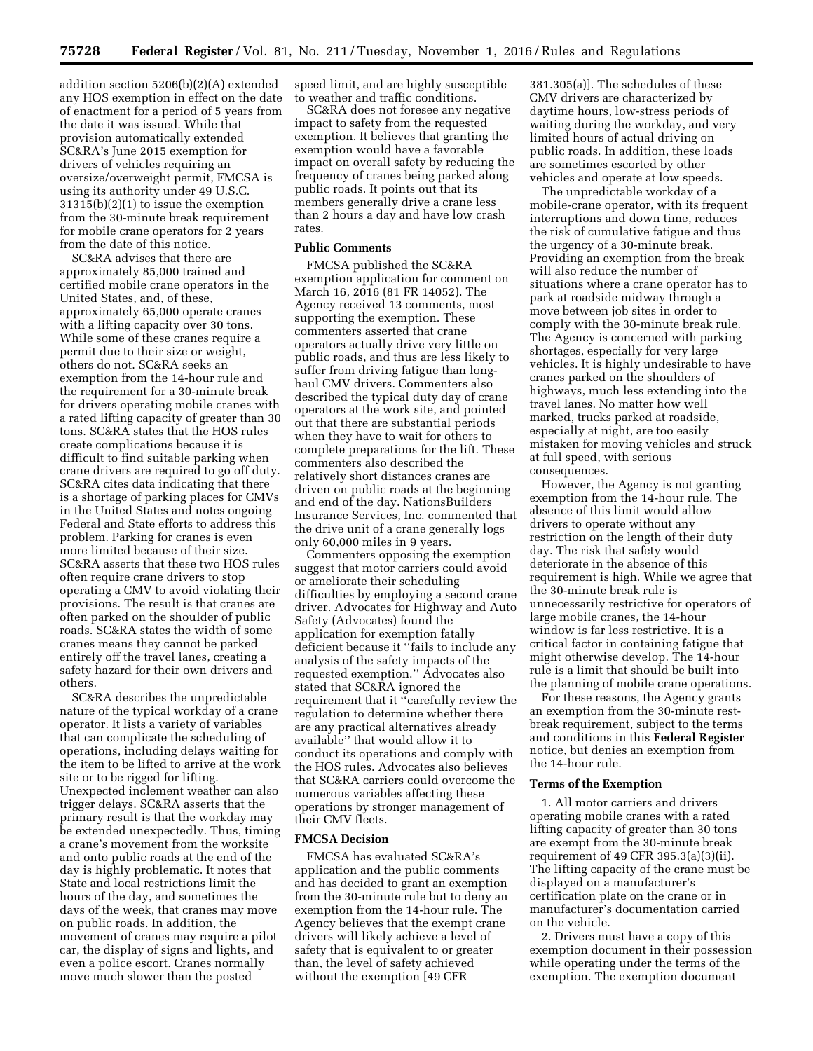addition section 5206(b)(2)(A) extended any HOS exemption in effect on the date of enactment for a period of 5 years from the date it was issued. While that provision automatically extended SC&RA's June 2015 exemption for drivers of vehicles requiring an oversize/overweight permit, FMCSA is using its authority under 49 U.S.C. 31315(b)(2)(1) to issue the exemption from the 30-minute break requirement for mobile crane operators for 2 years from the date of this notice.

SC&RA advises that there are approximately 85,000 trained and certified mobile crane operators in the United States, and, of these, approximately 65,000 operate cranes with a lifting capacity over 30 tons. While some of these cranes require a permit due to their size or weight, others do not. SC&RA seeks an exemption from the 14-hour rule and the requirement for a 30-minute break for drivers operating mobile cranes with a rated lifting capacity of greater than 30 tons. SC&RA states that the HOS rules create complications because it is difficult to find suitable parking when crane drivers are required to go off duty. SC&RA cites data indicating that there is a shortage of parking places for CMVs in the United States and notes ongoing Federal and State efforts to address this problem. Parking for cranes is even more limited because of their size. SC&RA asserts that these two HOS rules often require crane drivers to stop operating a CMV to avoid violating their provisions. The result is that cranes are often parked on the shoulder of public roads. SC&RA states the width of some cranes means they cannot be parked entirely off the travel lanes, creating a safety hazard for their own drivers and others.

SC&RA describes the unpredictable nature of the typical workday of a crane operator. It lists a variety of variables that can complicate the scheduling of operations, including delays waiting for the item to be lifted to arrive at the work site or to be rigged for lifting. Unexpected inclement weather can also trigger delays. SC&RA asserts that the primary result is that the workday may be extended unexpectedly. Thus, timing a crane's movement from the worksite and onto public roads at the end of the day is highly problematic. It notes that State and local restrictions limit the hours of the day, and sometimes the days of the week, that cranes may move on public roads. In addition, the movement of cranes may require a pilot car, the display of signs and lights, and even a police escort. Cranes normally move much slower than the posted

speed limit, and are highly susceptible to weather and traffic conditions.

SC&RA does not foresee any negative impact to safety from the requested exemption. It believes that granting the exemption would have a favorable impact on overall safety by reducing the frequency of cranes being parked along public roads. It points out that its members generally drive a crane less than 2 hours a day and have low crash rates.

#### **Public Comments**

FMCSA published the SC&RA exemption application for comment on March 16, 2016 (81 FR 14052). The Agency received 13 comments, most supporting the exemption. These commenters asserted that crane operators actually drive very little on public roads, and thus are less likely to suffer from driving fatigue than longhaul CMV drivers. Commenters also described the typical duty day of crane operators at the work site, and pointed out that there are substantial periods when they have to wait for others to complete preparations for the lift. These commenters also described the relatively short distances cranes are driven on public roads at the beginning and end of the day. NationsBuilders Insurance Services, Inc. commented that the drive unit of a crane generally logs only 60,000 miles in 9 years.

Commenters opposing the exemption suggest that motor carriers could avoid or ameliorate their scheduling difficulties by employing a second crane driver. Advocates for Highway and Auto Safety (Advocates) found the application for exemption fatally deficient because it ''fails to include any analysis of the safety impacts of the requested exemption.'' Advocates also stated that SC&RA ignored the requirement that it ''carefully review the regulation to determine whether there are any practical alternatives already available'' that would allow it to conduct its operations and comply with the HOS rules. Advocates also believes that SC&RA carriers could overcome the numerous variables affecting these operations by stronger management of their CMV fleets.

## **FMCSA Decision**

FMCSA has evaluated SC&RA's application and the public comments and has decided to grant an exemption from the 30-minute rule but to deny an exemption from the 14-hour rule. The Agency believes that the exempt crane drivers will likely achieve a level of safety that is equivalent to or greater than, the level of safety achieved without the exemption [49 CFR

381.305(a)]. The schedules of these CMV drivers are characterized by daytime hours, low-stress periods of waiting during the workday, and very limited hours of actual driving on public roads. In addition, these loads are sometimes escorted by other vehicles and operate at low speeds.

The unpredictable workday of a mobile-crane operator, with its frequent interruptions and down time, reduces the risk of cumulative fatigue and thus the urgency of a 30-minute break. Providing an exemption from the break will also reduce the number of situations where a crane operator has to park at roadside midway through a move between job sites in order to comply with the 30-minute break rule. The Agency is concerned with parking shortages, especially for very large vehicles. It is highly undesirable to have cranes parked on the shoulders of highways, much less extending into the travel lanes. No matter how well marked, trucks parked at roadside, especially at night, are too easily mistaken for moving vehicles and struck at full speed, with serious consequences.

However, the Agency is not granting exemption from the 14-hour rule. The absence of this limit would allow drivers to operate without any restriction on the length of their duty day. The risk that safety would deteriorate in the absence of this requirement is high. While we agree that the 30-minute break rule is unnecessarily restrictive for operators of large mobile cranes, the 14-hour window is far less restrictive. It is a critical factor in containing fatigue that might otherwise develop. The 14-hour rule is a limit that should be built into the planning of mobile crane operations.

For these reasons, the Agency grants an exemption from the 30-minute restbreak requirement, subject to the terms and conditions in this **Federal Register**  notice, but denies an exemption from the 14-hour rule.

#### **Terms of the Exemption**

1. All motor carriers and drivers operating mobile cranes with a rated lifting capacity of greater than 30 tons are exempt from the 30-minute break requirement of 49 CFR 395.3(a)(3)(ii). The lifting capacity of the crane must be displayed on a manufacturer's certification plate on the crane or in manufacturer's documentation carried on the vehicle.

2. Drivers must have a copy of this exemption document in their possession while operating under the terms of the exemption. The exemption document